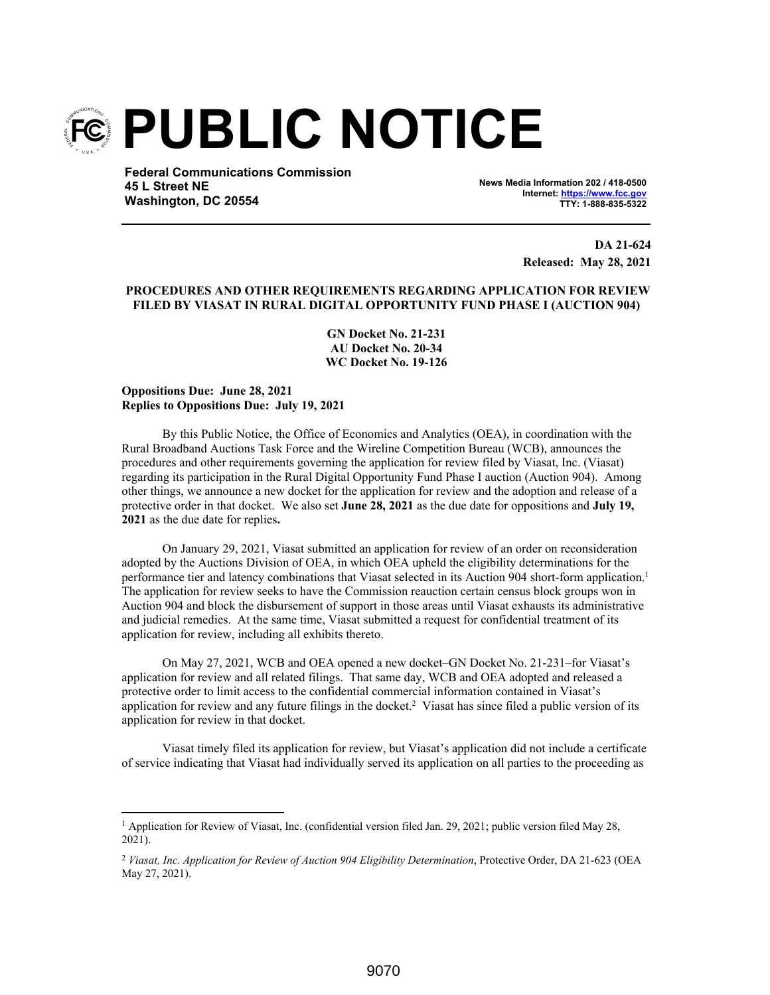

**Federal Communications Commission 45 L Street NE Washington, DC 20554**

**News Media Information 202 / 418-0500 Internet: https://www.fcc.gov TTY: 1-888-835-5322**

> **DA 21-624 Released: May 28, 2021**

## **PROCEDURES AND OTHER REQUIREMENTS REGARDING APPLICATION FOR REVIEW FILED BY VIASAT IN RURAL DIGITAL OPPORTUNITY FUND PHASE I (AUCTION 904)**

**GN Docket No. 21-231 AU Docket No. 20-34 WC Docket No. 19-126**

**Oppositions Due: June 28, 2021 Replies to Oppositions Due: July 19, 2021**

By this Public Notice, the Office of Economics and Analytics (OEA), in coordination with the Rural Broadband Auctions Task Force and the Wireline Competition Bureau (WCB), announces the procedures and other requirements governing the application for review filed by Viasat, Inc. (Viasat) regarding its participation in the Rural Digital Opportunity Fund Phase I auction (Auction 904). Among other things, we announce a new docket for the application for review and the adoption and release of a protective order in that docket. We also set **June 28, 2021** as the due date for oppositions and **July 19, 2021** as the due date for replies**.**

On January 29, 2021, Viasat submitted an application for review of an order on reconsideration adopted by the Auctions Division of OEA, in which OEA upheld the eligibility determinations for the performance tier and latency combinations that Viasat selected in its Auction 904 short-form application.<sup>1</sup> The application for review seeks to have the Commission reauction certain census block groups won in Auction 904 and block the disbursement of support in those areas until Viasat exhausts its administrative and judicial remedies. At the same time, Viasat submitted a request for confidential treatment of its application for review, including all exhibits thereto.

On May 27, 2021, WCB and OEA opened a new docket–GN Docket No. 21-231–for Viasat's application for review and all related filings. That same day, WCB and OEA adopted and released a protective order to limit access to the confidential commercial information contained in Viasat's application for review and any future filings in the docket.<sup>2</sup> Viasat has since filed a public version of its application for review in that docket.

Viasat timely filed its application for review, but Viasat's application did not include a certificate of service indicating that Viasat had individually served its application on all parties to the proceeding as

<sup>&</sup>lt;sup>1</sup> Application for Review of Viasat, Inc. (confidential version filed Jan. 29, 2021; public version filed May 28, 2021).

<sup>&</sup>lt;sup>2</sup> Viasat, Inc. Application for Review of Auction 904 Eligibility Determination, Protective Order, DA 21-623 (OEA May 27, 2021).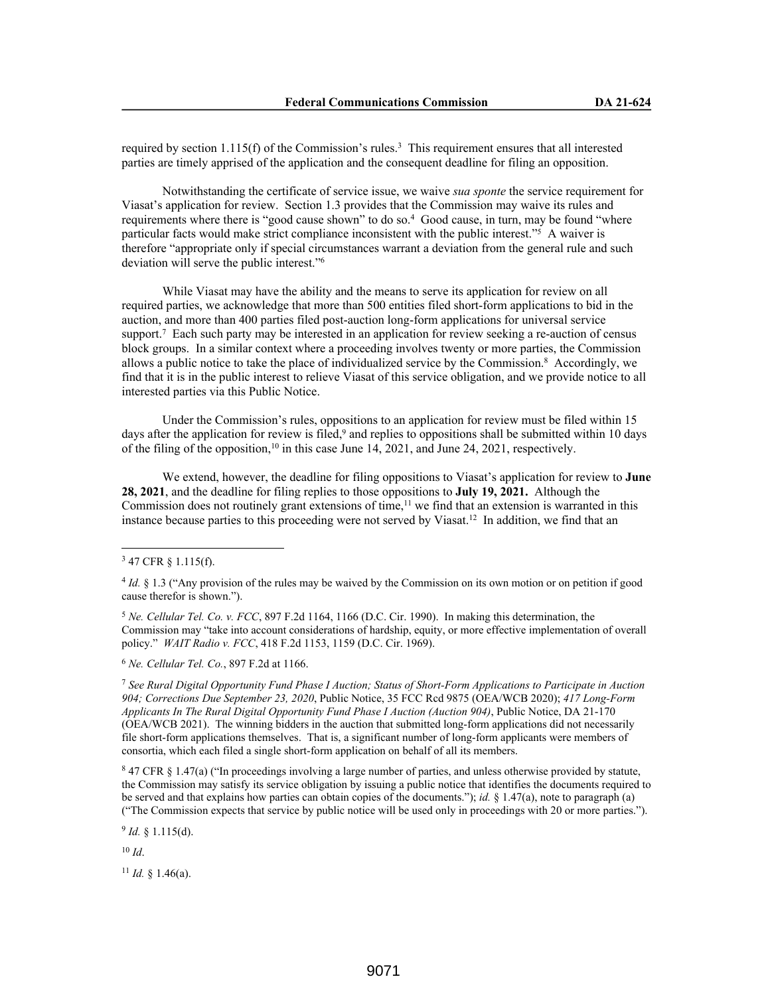required by section  $1.115(f)$  of the Commission's rules.<sup>3</sup> This requirement ensures that all interested parties are timely apprised of the application and the consequent deadline for filing an opposition.

Notwithstanding the certificate of service issue, we waive *sua sponte* the service requirement for Viasat's application for review. Section 1.3 provides that the Commission may waive its rules and requirements where there is "good cause shown" to do so.<sup>4</sup> Good cause, in turn, may be found "where particular facts would make strict compliance inconsistent with the public interest."<sup>5</sup> A waiver is therefore "appropriate only if special circumstances warrant a deviation from the general rule and such deviation will serve the public interest."<sup>6</sup>

While Viasat may have the ability and the means to serve its application for review on all required parties, we acknowledge that more than 500 entities filed short-form applications to bid in the auction, and more than 400 parties filed post-auction long-form applications for universal service support.<sup>7</sup> Each such party may be interested in an application for review seeking a re-auction of census block groups. In a similar context where a proceeding involves twenty or more parties, the Commission allows a public notice to take the place of individualized service by the Commission.<sup>8</sup> Accordingly, we find that it is in the public interest to relieve Viasat of this service obligation, and we provide notice to all interested parties via this Public Notice.

Under the Commission's rules, oppositions to an application for review must be filed within 15 days after the application for review is filed,<sup>9</sup> and replies to oppositions shall be submitted within 10 days of the filing of the opposition,<sup>10</sup> in this case June 14, 2021, and June 24, 2021, respectively.

We extend, however, the deadline for filing oppositions to Viasat's application for review to **June 28, 2021**, and the deadline for filing replies to those oppositions to **July 19, 2021.** Although the Commission does not routinely grant extensions of time,<sup>11</sup> we find that an extension is warranted in this instance because parties to this proceeding were not served by Viasat.<sup>12</sup> In addition, we find that an

<sup>5</sup> *Ne. Cellular Tel. Co. v. FCC*, 897 F.2d 1164, 1166 (D.C. Cir. 1990). In making this determination, the Commission may "take into account considerations of hardship, equity, or more effective implementation of overall policy." *WAIT Radio v. FCC*, 418 F.2d 1153, 1159 (D.C. Cir. 1969).

<sup>6</sup> *Ne. Cellular Tel. Co.*, 897 F.2d at 1166.

<sup>7</sup> *See Rural Digital Opportunity Fund Phase I Auction; Status of Short-Form Applications to Participate in Auction 904; Corrections Due September 23, 2020*, Public Notice, 35 FCC Rcd 9875 (OEA/WCB 2020); *417 Long-Form Applicants In The Rural Digital Opportunity Fund Phase I Auction (Auction 904)*, Public Notice, DA 21-170 (OEA/WCB 2021). The winning bidders in the auction that submitted long-form applications did not necessarily file short-form applications themselves. That is, a significant number of long-form applicants were members of consortia, which each filed a single short-form application on behalf of all its members.

8 47 CFR § 1.47(a) ("In proceedings involving a large number of parties, and unless otherwise provided by statute, the Commission may satisfy its service obligation by issuing a public notice that identifies the documents required to be served and that explains how parties can obtain copies of the documents."); *id.* § 1.47(a), note to paragraph (a) ("The Commission expects that service by public notice will be used only in proceedings with 20 or more parties.").

 $9$  *Id.* § 1.115(d).

<sup>10</sup> *Id*.

<sup>11</sup> *Id.* § 1.46(a).

<sup>3</sup> 47 CFR § 1.115(f).

<sup>4</sup> *Id.* § 1.3 ("Any provision of the rules may be waived by the Commission on its own motion or on petition if good cause therefor is shown.").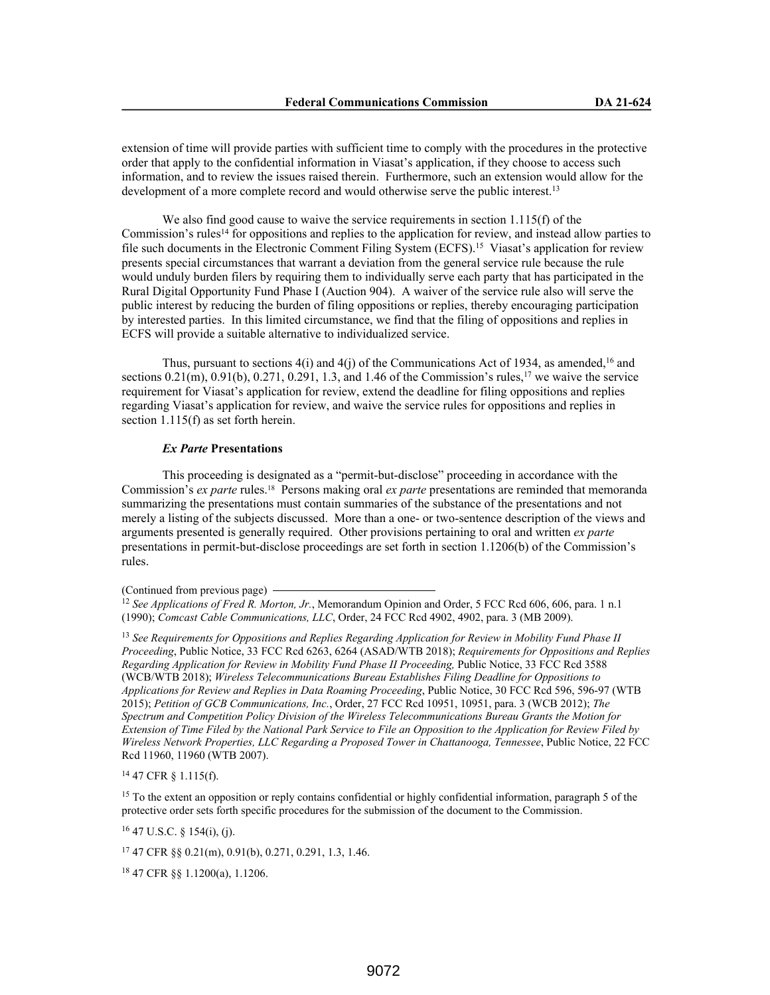extension of time will provide parties with sufficient time to comply with the procedures in the protective order that apply to the confidential information in Viasat's application, if they choose to access such information, and to review the issues raised therein. Furthermore, such an extension would allow for the development of a more complete record and would otherwise serve the public interest.<sup>13</sup>

We also find good cause to waive the service requirements in section 1.115(f) of the Commission's rules<sup>14</sup> for oppositions and replies to the application for review, and instead allow parties to file such documents in the Electronic Comment Filing System (ECFS).<sup>15</sup> Viasat's application for review presents special circumstances that warrant a deviation from the general service rule because the rule would unduly burden filers by requiring them to individually serve each party that has participated in the Rural Digital Opportunity Fund Phase I (Auction 904). A waiver of the service rule also will serve the public interest by reducing the burden of filing oppositions or replies, thereby encouraging participation by interested parties. In this limited circumstance, we find that the filing of oppositions and replies in ECFS will provide a suitable alternative to individualized service.

Thus, pursuant to sections  $4(i)$  and  $4(j)$  of the Communications Act of 1934, as amended,<sup>16</sup> and sections  $0.21(m)$ ,  $0.91(b)$ ,  $0.271$ ,  $0.291$ ,  $1.3$ , and  $1.46$  of the Commission's rules,<sup>17</sup> we waive the service requirement for Viasat's application for review, extend the deadline for filing oppositions and replies regarding Viasat's application for review, and waive the service rules for oppositions and replies in section 1.115(f) as set forth herein.

## *Ex Parte* **Presentations**

This proceeding is designated as a "permit-but-disclose" proceeding in accordance with the Commission's *ex parte* rules.18 Persons making oral *ex parte* presentations are reminded that memoranda summarizing the presentations must contain summaries of the substance of the presentations and not merely a listing of the subjects discussed. More than a one- or two-sentence description of the views and arguments presented is generally required. Other provisions pertaining to oral and written *ex parte* presentations in permit-but-disclose proceedings are set forth in section 1.1206(b) of the Commission's rules.

(Continued from previous page)

<sup>13</sup> *See Requirements for Oppositions and Replies Regarding Application for Review in Mobility Fund Phase II Proceeding*, Public Notice, 33 FCC Rcd 6263, 6264 (ASAD/WTB 2018); *Requirements for Oppositions and Replies Regarding Application for Review in Mobility Fund Phase II Proceeding, Public Notice, 33 FCC Rcd 3588* (WCB/WTB 2018); *Wireless Telecommunications Bureau Establishes Filing Deadline for Oppositions to Applications for Review and Replies in Data Roaming Proceeding*, Public Notice, 30 FCC Rcd 596, 596-97 (WTB 2015); *Petition of GCB Communications, Inc.*, Order, 27 FCC Rcd 10951, 10951, para. 3 (WCB 2012); *The Spectrum and Competition Policy Division of the Wireless Telecommunications Bureau Grants the Motion for Extension of Time Filed by the National Park Service to File an Opposition to the Application for Review Filed by Wireless Network Properties, LLC Regarding a Proposed Tower in Chattanooga, Tennessee*, Public Notice, 22 FCC Rcd 11960, 11960 (WTB 2007).

<sup>14</sup> 47 CFR § 1.115(f).

<sup>15</sup> To the extent an opposition or reply contains confidential or highly confidential information, paragraph 5 of the protective order sets forth specific procedures for the submission of the document to the Commission.

 $16$  47 U.S.C. § 154(i), (j).

<sup>17</sup> 47 CFR §§ 0.21(m), 0.91(b), 0.271, 0.291, 1.3, 1.46.

<sup>18</sup> 47 CFR §§ 1.1200(a), 1.1206.

<sup>12</sup> *See Applications of Fred R. Morton, Jr.*, Memorandum Opinion and Order, 5 FCC Rcd 606, 606, para. 1 n.1 (1990); *Comcast Cable Communications, LLC*, Order, 24 FCC Rcd 4902, 4902, para. 3 (MB 2009).